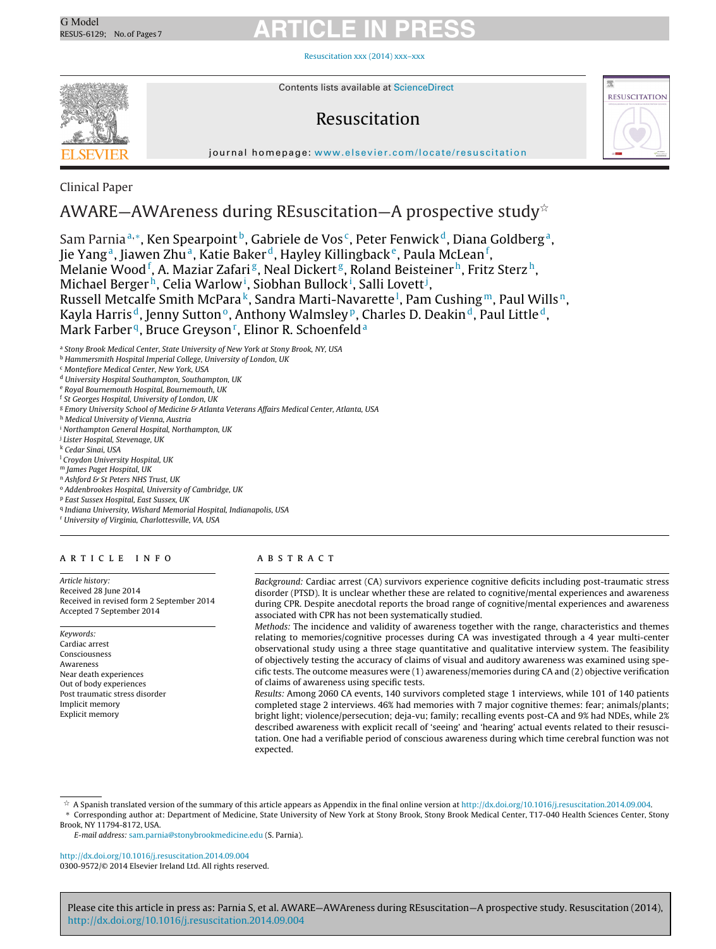[Resuscitation](dx.doi.org/10.1016/j.resuscitation.2014.09.004) xxx (2014) xxx–xxx



Contents lists available at [ScienceDirect](http://www.sciencedirect.com/science/journal/03009572)

### Resuscitation



journal homepage: [www.elsevier.com/locate/resuscitation](http://www.elsevier.com/locate/resuscitation)

Clinical Paper

### AWARE—AWAreness during REsuscitation—A prospective study $^{\star}$

Sam Parnia<sup>a,∗</sup>, Ken Spearpoint<sup>b</sup>, Gabriele de Vos<sup>c</sup>, Peter Fenwick<sup>d</sup>, Diana Goldberg<sup>a</sup>, Jie Yang<sup>a</sup>, Jiawen Zhu<sup>a</sup>, Katie Baker<sup>d</sup>, Hayley Killingback<sup>e</sup>, Paula McLean<sup>f</sup>, Melanie Wood<sup>f</sup>, A. Maziar Zafari<sup>g</sup>, Neal Dickert<sup>g</sup>, Roland Beisteiner<sup>h</sup>, Fritz Sterz<sup>h</sup>, Michael Bergerh, Celia Warlow $^{\rm i}$ , Siobhan Bullock $^{\rm i}$ , Salli Lovett $^{\rm j}$ , Russell Metcalfe Smith McPara<sup>k</sup>, Sandra Marti-Navarette<sup>1</sup>, Pam Cushing<sup>m</sup>, Paul Wills<sup>n</sup>, Kayla Harris<sup>d</sup>, Jenny Sutton<sup>o</sup>, Anthony Walmsley<sup>p</sup>, Charles D. Deakin<sup>d</sup>, Paul Little<sup>d</sup>,

Mark Farber<sup>q</sup>, Bruce Greyson<sup>r</sup>, Elinor R. Schoenfeld<sup>a</sup>

<sup>a</sup> Stony Brook Medical Center, State University of New York at Stony Brook, NY, USA **b Hammersmith Hospital Imperial College, University of London, UK** 

<sup>c</sup> Montefiore Medical Center, New York, USA

<sup>d</sup> University Hospital Southampton, Southampton, UK

<sup>e</sup> Royal Bournemouth Hospital, Bournemouth, UK <sup>f</sup> St Georges Hospital, University of London, UK

<sup>g</sup> Emory University School of Medicine & Atlanta Veterans Affairs Medical Center, Atlanta, USA

h Medical University of Vienna, Austria

<sup>i</sup> Northampton General Hospital, Northampton, UK

<sup>j</sup> Lister Hospital, Stevenage, UK

<sup>k</sup> Cedar Sinai, USA

<sup>1</sup> Croydon University Hospital, UK

<sup>m</sup> James Paget Hospital, UK

<sup>n</sup> Ashford & St Peters NHS Trust, UK

<sup>o</sup> Addenbrookes Hospital, University of Cambridge, UK

<sup>p</sup> East Sussex Hospital, East Sussex, UK

<sup>q</sup> Indiana University, Wishard Memorial Hospital, Indianapolis, USA

<sup>r</sup> University of Virginia, Charlottesville, VA, USA

#### a r t i c l e i n f o

Article history: Received 28 June 2014 Received in revised form 2 September 2014 Accepted 7 September 2014

Keywords: Cardiac arrest Consciousness Awareness Near death experiences Out of body experiences Post traumatic stress disorder Implicit memory Explicit memory

### A B S T R A C T

Background: Cardiac arrest (CA) survivors experience cognitive deficits including post-traumatic stress disorder (PTSD). It is unclear whether these are related to cognitive/mental experiences and awareness during CPR. Despite anecdotal reports the broad range of cognitive/mental experiences and awareness associated with CPR has not been systematically studied.

Methods: The incidence and validity of awareness together with the range, characteristics and themes relating to memories/cognitive processes during CA was investigated through a 4 year multi-center observational study using a three stage quantitative and qualitative interview system. The feasibility of objectively testing the accuracy of claims of visual and auditory awareness was examined using specific tests. The outcome measures were (1) awareness/memories during CA and (2) objective verification of claims of awareness using specific tests.

Results: Among 2060 CA events, 140 survivors completed stage 1 interviews, while 101 of 140 patients completed stage 2 interviews. 46% had memories with 7 major cognitive themes: fear; animals/plants; bright light; violence/persecution; deja-vu; family; recalling events post-CA and 9% had NDEs, while 2% described awareness with explicit recall of 'seeing' and 'hearing' actual events related to their resuscitation. One had a verifiable period of conscious awareness during which time cerebral function was not expected.

 $\hat{\sigma}$  A Spanish translated version of the summary of this article appears as Appendix in the final online version at [http://dx.doi.org/10.1016/j.resuscitation.2014.09.004.](http://dx.doi.org/10.1016/j.resuscitation.2014.09.004)

∗ Corresponding author at: Department of Medicine, State University of New York at Stony Brook, Stony Brook Medical Center, T17-040 Health Sciences Center, Stony Brook, NY 11794-8172, USA.

E-mail address: [sam.parnia@stonybrookmedicine.edu](mailto:sam.parnia@stonybrookmedicine.edu) (S. Parnia).

[http://dx.doi.org/10.1016/j.resuscitation.2014.09.004](dx.doi.org/10.1016/j.resuscitation.2014.09.004) 0300-9572/© 2014 Elsevier Ireland Ltd. All rights reserved.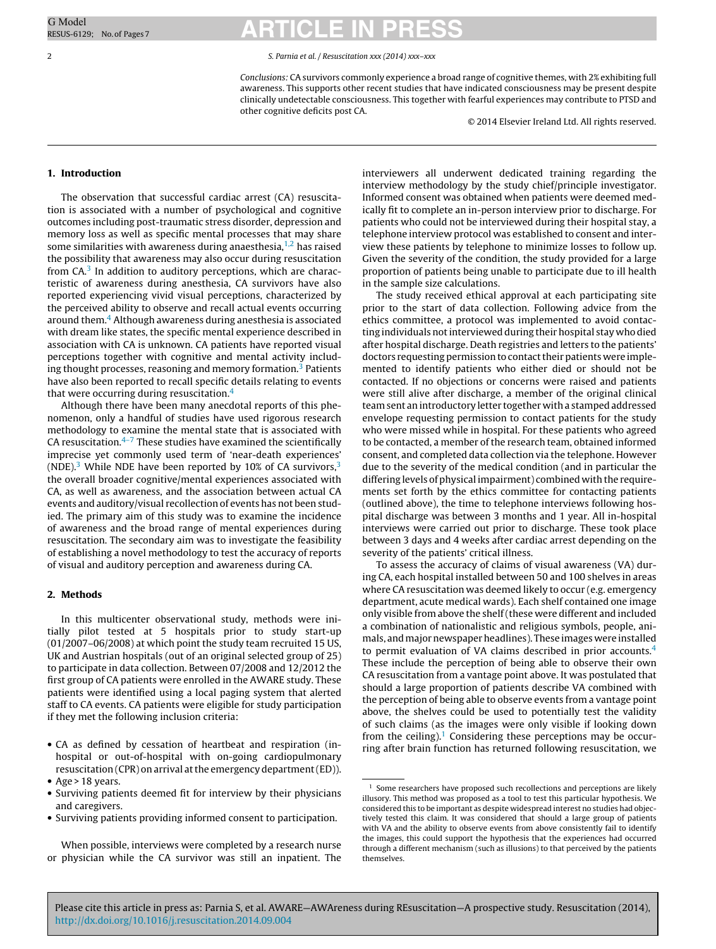2 S. Parnia et al. / Resuscitation xxx (2014) xxx–xxx

Conclusions: CA survivors commonly experience a broad range of cognitive themes, with 2% exhibiting full awareness. This supports other recent studies that have indicated consciousness may be present despite clinically undetectable consciousness. This together with fearful experiences may contribute to PTSD and other cognitive deficits post CA.

© 2014 Elsevier Ireland Ltd. All rights reserved.

### **1. Introduction**

The observation that successful cardiac arrest (CA) resuscitation is associated with a number of psychological and cognitive outcomes including post-traumatic stress disorder, depression and memory loss as well as specific mental processes that may share some similarities with awareness during anaesthesia, $1,2$  has raised the possibility that awareness may also occur during resuscitation from  $CA<sup>3</sup>$  $CA<sup>3</sup>$  $CA<sup>3</sup>$  In addition to auditory perceptions, which are characteristic of awareness during anesthesia, CA survivors have also reported experiencing vivid visual perceptions, characterized by the perceived ability to observe and recall actual events occurring around them.[4](#page-5-0) Although awareness during anesthesia is associated with dream like states, the specific mental experience described in association with CA is unknown. CA patients have reported visual perceptions together with cognitive and mental activity including thought processes, reasoning and memory formation.<sup>3</sup> Patients have also been reported to recall specific details relating to events that were occurring during resuscitation.<sup>[4](#page-5-0)</sup>

Although there have been many anecdotal reports of this phenomenon, only a handful of studies have used rigorous research methodology to examine the mental state that is associated with CA resuscitation. $4-7$  These studies have examined the scientifically imprecise yet commonly used term of 'near-death experiences' (NDE).<sup>[3](#page-5-0)</sup> While NDE have been reported by 10% of CA survivors, $3$ the overall broader cognitive/mental experiences associated with CA, as well as awareness, and the association between actual CA events and auditory/visual recollection of events has not been studied. The primary aim of this study was to examine the incidence of awareness and the broad range of mental experiences during resuscitation. The secondary aim was to investigate the feasibility of establishing a novel methodology to test the accuracy of reports of visual and auditory perception and awareness during CA.

#### **2. Methods**

In this multicenter observational study, methods were initially pilot tested at 5 hospitals prior to study start-up (01/2007–06/2008) at which point the study team recruited 15 US, UK and Austrian hospitals (out of an original selected group of 25) to participate in data collection. Between 07/2008 and 12/2012 the first group of CA patients were enrolled in the AWARE study. These patients were identified using a local paging system that alerted staff to CA events. CA patients were eligible for study participation if they met the following inclusion criteria:

- CA as defined by cessation of heartbeat and respiration (inhospital or out-of-hospital with on-going cardiopulmonary resuscitation (CPR) on arrival at the emergency department (ED)). • Age > 18 years.
- Surviving patients deemed fit for interview by their physicians and caregivers.
- Surviving patients providing informed consent to participation.

When possible, interviews were completed by a research nurse or physician while the CA survivor was still an inpatient. The interviewers all underwent dedicated training regarding the interview methodology by the study chief/principle investigator. Informed consent was obtained when patients were deemed medically fit to complete an in-person interview prior to discharge. For patients who could not be interviewed during their hospital stay, a telephone interview protocol was established to consent and interview these patients by telephone to minimize losses to follow up. Given the severity of the condition, the study provided for a large proportion of patients being unable to participate due to ill health in the sample size calculations.

The study received ethical approval at each participating site prior to the start of data collection. Following advice from the ethics committee, a protocol was implemented to avoid contacting individuals not interviewed during their hospital stay who died after hospital discharge. Death registries and letters to the patients' doctors requesting permission to contact their patients were implemented to identify patients who either died or should not be contacted. If no objections or concerns were raised and patients were still alive after discharge, a member of the original clinical teamsent an introductory letter together with a stamped addressed envelope requesting permission to contact patients for the study who were missed while in hospital. For these patients who agreed to be contacted, a member of the research team, obtained informed consent, and completed data collection via the telephone. However due to the severity of the medical condition (and in particular the differing levels of physical impairment) combined with the requirements set forth by the ethics committee for contacting patients (outlined above), the time to telephone interviews following hospital discharge was between 3 months and 1 year. All in-hospital interviews were carried out prior to discharge. These took place between 3 days and 4 weeks after cardiac arrest depending on the severity of the patients' critical illness.

To assess the accuracy of claims of visual awareness (VA) during CA, each hospital installed between 50 and 100 shelves in areas where CA resuscitation was deemed likely to occur (e.g. emergency department, acute medical wards). Each shelf contained one image only visible from above the shelf(these were different and included a combination of nationalistic and religious symbols, people, animals, and major newspaper headlines). These images were installed to permit evaluation of VA claims described in prior accounts.<sup>[4](#page-5-0)</sup> These include the perception of being able to observe their own CA resuscitation from a vantage point above. It was postulated that should a large proportion of patients describe VA combined with the perception of being able to observe events from a vantage point above, the shelves could be used to potentially test the validity of such claims (as the images were only visible if looking down from the ceiling).<sup>1</sup> Considering these perceptions may be occurring after brain function has returned following resuscitation, we

 $^{\rm 1}$  Some researchers have proposed such recollections and perceptions are likely illusory. This method was proposed as a tool to test this particular hypothesis. We considered this to be important as despite widespread interest no studies had objectively tested this claim. It was considered that should a large group of patients with VA and the ability to observe events from above consistently fail to identify the images, this could support the hypothesis that the experiences had occurred through a different mechanism (such as illusions) to that perceived by the patients themselves.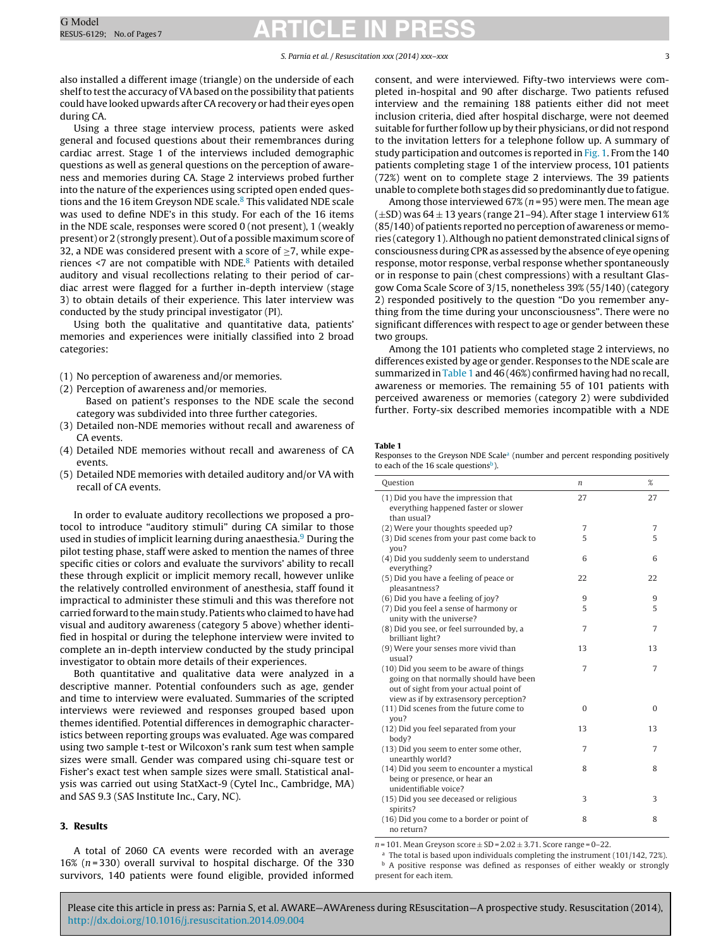#### S. Parnia et al. / Resuscitation xxx (2014) xxx–xxx 3

also installed a different image (triangle) on the underside of each shelf to test the accuracy of VA based on the possibility that patients could have looked upwards after CArecovery or had their eyes open during CA.

Using a three stage interview process, patients were asked general and focused questions about their remembrances during cardiac arrest. Stage 1 of the interviews included demographic questions as well as general questions on the perception of awareness and memories during CA. Stage 2 interviews probed further into the nature of the experiences using scripted open ended ques-tions and the 16 item Greyson NDE scale.<sup>[8](#page-5-0)</sup> This validated NDE scale was used to define NDE's in this study. For each of the 16 items in the NDE scale, responses were scored 0 (not present), 1 (weakly present) or 2 (strongly present). Out of a possible maximum score of 32, a NDE was considered present with a score of  $\geq$ 7, while experiences  $\le$ 7 are not compatible with NDE. $\frac{8}{3}$  $\frac{8}{3}$  $\frac{8}{3}$  Patients with detailed auditory and visual recollections relating to their period of cardiac arrest were flagged for a further in-depth interview (stage 3) to obtain details of their experience. This later interview was conducted by the study principal investigator (PI).

Using both the qualitative and quantitative data, patients' memories and experiences were initially classified into 2 broad categories:

- (1) No perception of awareness and/or memories.
- (2) Perception of awareness and/or memories. Based on patient's responses to the NDE scale the second category was subdivided into three further categories.
- (3) Detailed non-NDE memories without recall and awareness of CA events.
- (4) Detailed NDE memories without recall and awareness of CA events.
- (5) Detailed NDE memories with detailed auditory and/or VA with recall of CA events.

In order to evaluate auditory recollections we proposed a protocol to introduce "auditory stimuli" during CA similar to those used in studies of implicit learning during anaesthesia.<sup>[9](#page-5-0)</sup> During the pilot testing phase, staff were asked to mention the names of three specific cities or colors and evaluate the survivors' ability to recall these through explicit or implicit memory recall, however unlike the relatively controlled environment of anesthesia, staff found it impractical to administer these stimuli and this was therefore not carried forward to the main study. Patients who claimed to have had visual and auditory awareness (category 5 above) whether identified in hospital or during the telephone interview were invited to complete an in-depth interview conducted by the study principal investigator to obtain more details of their experiences.

Both quantitative and qualitative data were analyzed in a descriptive manner. Potential confounders such as age, gender and time to interview were evaluated. Summaries of the scripted interviews were reviewed and responses grouped based upon themes identified. Potential differences in demographic characteristics between reporting groups was evaluated. Age was compared using two sample t-test or Wilcoxon's rank sum test when sample sizes were small. Gender was compared using chi-square test or Fisher's exact test when sample sizes were small. Statistical analysis was carried out using StatXact-9 (Cytel Inc., Cambridge, MA) and SAS 9.3 (SAS Institute Inc., Cary, NC).

#### **3. Results**

A total of 2060 CA events were recorded with an average 16% ( $n = 330$ ) overall survival to hospital discharge. Of the 330 survivors, 140 patients were found eligible, provided informed

consent, and were interviewed. Fifty-two interviews were completed in-hospital and 90 after discharge. Two patients refused interview and the remaining 188 patients either did not meet inclusion criteria, died after hospital discharge, were not deemed suitable for further follow up by their physicians, or did not respond to the invitation letters for a telephone follow up. A summary of study participation and outcomes is reported in [Fig.](#page-3-0) 1. From the 140 patients completing stage 1 of the interview process, 101 patients (72%) went on to complete stage 2 interviews. The 39 patients unable to complete both stages did so predominantly due to fatigue.

Among those interviewed 67% ( $n = 95$ ) were men. The mean age  $(\pm SD)$  was 64  $\pm$  13 years (range 21-94). After stage 1 interview 61% (85/140) of patients reported no perception of awareness or memories (category 1).Although no patient demonstrated clinical signs of consciousness during CPRas assessed by the absence of eye opening response, motor response, verbal response whether spontaneously or in response to pain (chest compressions) with a resultant Glasgow Coma Scale Score of 3/15, nonetheless 39% (55/140) (category 2) responded positively to the question "Do you remember anything from the time during your unconsciousness". There were no significant differences with respect to age or gender between these two groups.

Among the 101 patients who completed stage 2 interviews, no differences existed by age or gender. Responses to the NDE scale are summarized in Table 1 and 46 (46%) confirmed having had no recall, awareness or memories. The remaining 55 of 101 patients with perceived awareness or memories (category 2) were subdivided further. Forty-six described memories incompatible with a NDE

#### **Table 1**

Responses to the Greyson NDE Scale<sup>a</sup> (number and percent responding positively to each of the 16 scale questions<sup>b</sup>).

| Question                                                                                                                                                               | n        | $\%$           |
|------------------------------------------------------------------------------------------------------------------------------------------------------------------------|----------|----------------|
| (1) Did you have the impression that<br>everything happened faster or slower<br>than usual?                                                                            | 27       | 27             |
| (2) Were your thoughts speeded up?                                                                                                                                     | 7        | 7              |
| (3) Did scenes from your past come back to<br>you?                                                                                                                     | 5        | 5              |
| (4) Did you suddenly seem to understand<br>everything?                                                                                                                 | 6        | 6              |
| (5) Did you have a feeling of peace or<br>pleasantness?                                                                                                                | 22       | 22             |
| (6) Did you have a feeling of joy?                                                                                                                                     | 9        | 9              |
| (7) Did you feel a sense of harmony or<br>unity with the universe?                                                                                                     | 5        | 5              |
| (8) Did you see, or feel surrounded by, a<br>brilliant light?                                                                                                          | 7        | 7              |
| (9) Were your senses more vivid than<br>usual?                                                                                                                         | 13       | 13             |
| (10) Did you seem to be aware of things<br>going on that normally should have been<br>out of sight from your actual point of<br>view as if by extrasensory perception? | 7        | $\overline{7}$ |
| (11) Did scenes from the future come to<br>you?                                                                                                                        | $\Omega$ | $\Omega$       |
| (12) Did you feel separated from your<br>body?                                                                                                                         | 13       | 13             |
| (13) Did you seem to enter some other,<br>unearthly world?                                                                                                             | 7        | $\overline{7}$ |
| (14) Did you seem to encounter a mystical<br>being or presence, or hear an<br>unidentifiable voice?                                                                    | 8        | 8              |
| (15) Did you see deceased or religious<br>spirits?                                                                                                                     | 3        | $\mathbf{3}$   |
| (16) Did you come to a border or point of<br>no return?                                                                                                                | 8        | 8              |

 $n = 101$ . Mean Greyson score  $+$  SD = 2.02  $+$  3.71. Score range = 0–22.

The total is based upon individuals completing the instrument  $(101/142, 72%)$ . b A positive response was defined as responses of either weakly or strongly present for each item.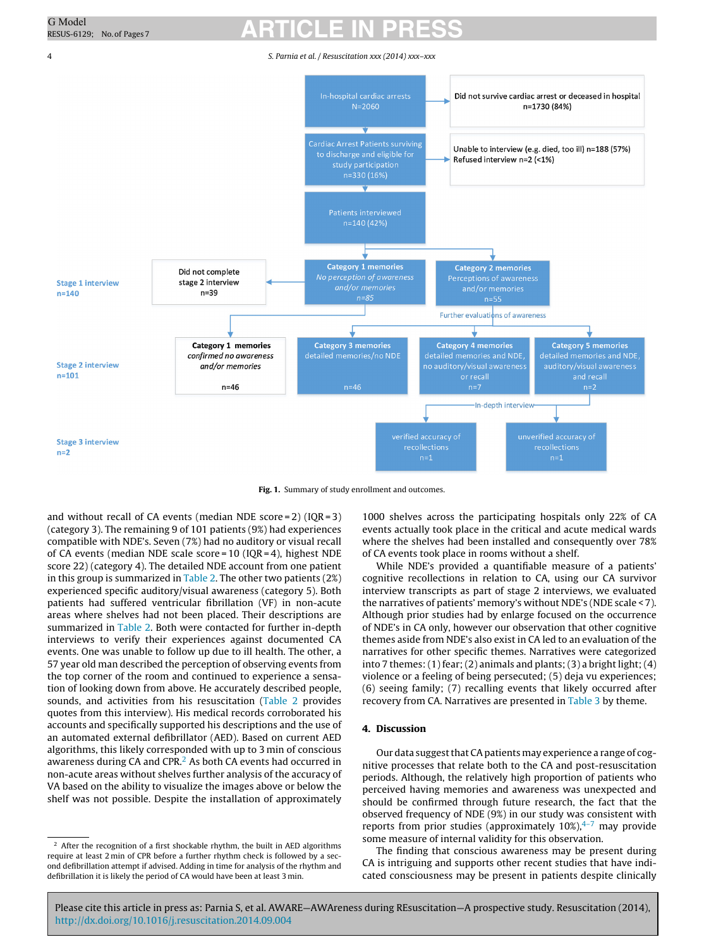#### <span id="page-3-0"></span>4 S. Parnia et al. / Resuscitation xxx (2014) xxx–xxx



**Fig. 1.** Summary of study enrollment and outcomes.

and without recall of CA events (median NDE score =  $2)$  (IQR =  $3)$ ) (category 3). The remaining 9 of 101 patients (9%) had experiences compatible with NDE's. Seven (7%) had no auditory or visual recall of CA events (median NDE scale score = 10 (IQR = 4), highest NDE score 22) (category 4). The detailed NDE account from one patient in this group is summarized in [Table](#page-4-0) 2. The other two patients (2%) experienced specific auditory/visual awareness (category 5). Both patients had suffered ventricular fibrillation (VF) in non-acute areas where shelves had not been placed. Their descriptions are summarized in [Table](#page-4-0) 2. Both were contacted for further in-depth interviews to verify their experiences against documented CA events. One was unable to follow up due to ill health. The other, a 57 year old man described the perception of observing events from the top corner of the room and continued to experience a sensation of looking down from above. He accurately described people, sounds, and activities from his resuscitation ([Table](#page-4-0) 2 provides quotes from this interview). His medical records corroborated his accounts and specifically supported his descriptions and the use of an automated external defibrillator (AED). Based on current AED algorithms, this likely corresponded with up to 3 min of conscious awareness during CA and CPR.<sup>2</sup> As both CA events had occurred in non-acute areas without shelves further analysis of the accuracy of VA based on the ability to visualize the images above or below the shelf was not possible. Despite the installation of approximately 1000 shelves across the participating hospitals only 22% of CA events actually took place in the critical and acute medical wards where the shelves had been installed and consequently over 78% of CA events took place in rooms without a shelf.

While NDE's provided a quantifiable measure of a patients' cognitive recollections in relation to CA, using our CA survivor interview transcripts as part of stage 2 interviews, we evaluated the narratives of patients' memory's without NDE's (NDE scale < 7). Although prior studies had by enlarge focused on the occurrence of NDE's in CA only, however our observation that other cognitive themes aside from NDE's also exist in CA led to an evaluation of the narratives for other specific themes. Narratives were categorized into 7 themes: (1) fear; (2) animals and plants; (3) a bright light; (4) violence or a feeling of being persecuted; (5) deja vu experiences; (6) seeing family; (7) recalling events that likely occurred after recovery from CA. Narratives are presented in [Table](#page-4-0) 3 by theme.

### **4. Discussion**

Our data suggest that CA patients may experience a range of cognitive processes that relate both to the CA and post-resuscitation periods. Although, the relatively high proportion of patients who perceived having memories and awareness was unexpected and should be confirmed through future research, the fact that the observed frequency of NDE (9%) in our study was consistent with reports from prior studies (approximately  $10\%)$ , $4\text{-}7$  may provide some measure of internal validity for this observation.

The finding that conscious awareness may be present during CA is intriguing and supports other recent studies that have indicated consciousness may be present in patients despite clinically

 $2$  After the recognition of a first shockable rhythm, the built in AED algorithms require at least 2 min of CPR before a further rhythm check is followed by a second defibrillation attempt if advised. Adding in time for analysis of the rhythm and defibrillation it is likely the period of CA would have been at least 3 min.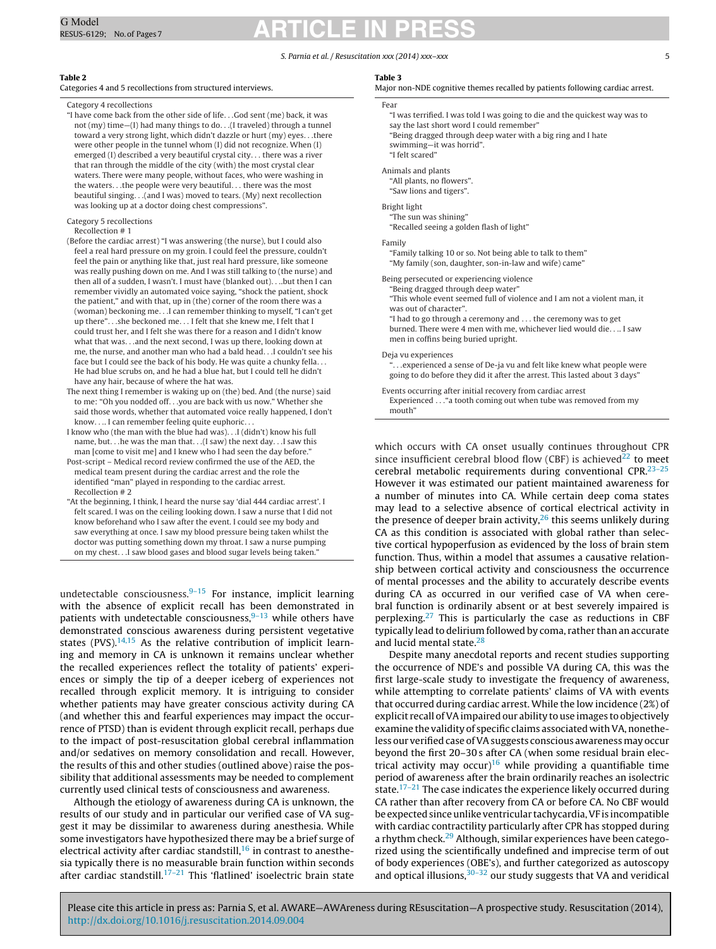#### S. Parnia et al. / Resuscitation xxx (2014) xxx–xxx 5

### <span id="page-4-0"></span>**Table 2**

Categories 4 and 5 recollections from structured interviews.

Category 4 recollections

"I have come back from the other side of life. . .God sent (me) back, it was not (my) time—(I) had many things to do. . .(I traveled) through a tunnel toward a very strong light, which didn't dazzle or hurt (my) eyes. . .there were other people in the tunnel whom (I) did not recognize. When (I) emerged (I) described a very beautiful crystal city. . . there was a river that ran through the middle of the city (with) the most crystal clear waters. There were many people, without faces, who were washing in the waters. . .the people were very beautiful. . . there was the most beautiful singing. . .(and I was) moved to tears. (My) next recollection was looking up at a doctor doing chest compressions".

Category 5 recollections

Recollection # 1

- (Before the cardiac arrest) "I was answering (the nurse), but I could also feel a real hard pressure on my groin. I could feel the pressure, couldn't feel the pain or anything like that, just real hard pressure, like someone was really pushing down on me. And I was still talking to (the nurse) and then all of a sudden, I wasn't. I must have (blanked out). . ..but then I can remember vividly an automated voice saying, "shock the patient, shock the patient," and with that, up in (the) corner of the room there was a (woman) beckoning me. . .I can remember thinking to myself, "I can't get up there". . .she beckoned me. . . I felt that she knew me, I felt that I could trust her, and I felt she was there for a reason and I didn't know what that was. . .and the next second, I was up there, looking down at me, the nurse, and another man who had a bald head. . .I couldn't see his face but I could see the back of his body. He was quite a chunky fella. . . He had blue scrubs on, and he had a blue hat, but I could tell he didn't have any hair, because of where the hat was.
- The next thing I remember is waking up on (the) bed. And (the nurse) said to me: "Oh you nodded off. . .you are back with us now." Whether she said those words, whether that automated voice really happened, I don't know. . .. I can remember feeling quite euphoric. . .
- I know who (the man with the blue had was). . .I (didn't) know his full name, but. . .he was the man that. . .(I saw) the next day. . .I saw this man [come to visit me] and I knew who I had seen the day before."
- Post-script Medical record review confirmed the use of the AED, the medical team present during the cardiac arrest and the role the identified "man" played in responding to the cardiac arrest. Recollection # 2
- "At the beginning, I think, I heard the nurse say 'dial 444 cardiac arrest'. I felt scared. I was on the ceiling looking down. I saw a nurse that I did not know beforehand who I saw after the event. I could see my body and saw everything at once. I saw my blood pressure being taken whilst the doctor was putting something down my throat. I saw a nurse pumping on my chest. . .I saw blood gases and blood sugar levels being taken."

undetectable consciousness. $9-15$  For instance, implicit learning with the absence of explicit recall has been demonstrated in patients with undetectable consciousness,  $9-13$  while others have demonstrated conscious awareness during persistent vegetative states (PVS). $14,15$  As the relative contribution of implicit learning and memory in CA is unknown it remains unclear whether the recalled experiences reflect the totality of patients' experiences or simply the tip of a deeper iceberg of experiences not recalled through explicit memory. It is intriguing to consider whether patients may have greater conscious activity during CA (and whether this and fearful experiences may impact the occurrence of PTSD) than is evident through explicit recall, perhaps due to the impact of post-resuscitation global cerebral inflammation and/or sedatives on memory consolidation and recall. However, the results of this and other studies (outlined above) raise the possibility that additional assessments may be needed to complement currently used clinical tests of consciousness and awareness.

Although the etiology of awareness during CA is unknown, the results of our study and in particular our verified case of VA suggest it may be dissimilar to awareness during anesthesia. While some investigators have hypothesized there may be a brief surge of electrical activity after cardiac standstill, $16$  in contrast to anesthesia typically there is no measurable brain function within seconds after cardiac standstill. $17-21$  This 'flatlined' isoelectric brain state

### **Table 3**

| Table 3<br>Major non-NDE cognitive themes recalled by patients following cardiac arrest.                                                                                                                                                                                                                                                                         |  |  |
|------------------------------------------------------------------------------------------------------------------------------------------------------------------------------------------------------------------------------------------------------------------------------------------------------------------------------------------------------------------|--|--|
| Fear<br>"I was terrified. I was told I was going to die and the quickest way was to<br>say the last short word I could remember"<br>"Being dragged through deep water with a big ring and I hate<br>swimming-it was horrid".<br>"I felt scared"                                                                                                                  |  |  |
| Animals and plants<br>"All plants, no flowers".<br>"Saw lions and tigers".                                                                                                                                                                                                                                                                                       |  |  |
| Bright light<br>"The sun was shining"<br>"Recalled seeing a golden flash of light"                                                                                                                                                                                                                                                                               |  |  |
| Family<br>"Family talking 10 or so. Not being able to talk to them"<br>"My family (son, daughter, son-in-law and wife) came"                                                                                                                                                                                                                                     |  |  |
| Being persecuted or experiencing violence<br>"Being dragged through deep water"<br>"This whole event seemed full of violence and I am not a violent man, it<br>was out of character".<br>"I had to go through a ceremony and the ceremony was to get<br>burned. There were 4 men with me, whichever lied would die I saw<br>men in coffins being buried upright. |  |  |
| Deja vu experiences<br>"experienced a sense of De-ja vu and felt like knew what people were<br>going to do before they did it after the arrest. This lasted about 3 days"                                                                                                                                                                                        |  |  |
| Events occurring after initial recovery from cardiac arrest<br>Experienced "a tooth coming out when tube was removed from my<br>mouth"                                                                                                                                                                                                                           |  |  |

which occurs with CA onset usually continues throughout CPR since insufficient cerebral blood flow (CBF) is achieved $^{22}$  to meet cerebral metabolic requirements during conventional CPR[.23–25](#page-6-0) However it was estimated our patient maintained awareness for a number of minutes into CA. While certain deep coma states may lead to a selective absence of cortical electrical activity in the presence of deeper brain activity,  $26$  this seems unlikely during CA as this condition is associated with global rather than selective cortical hypoperfusion as evidenced by the loss of brain stem function. Thus, within a model that assumes a causative relationship between cortical activity and consciousness the occurrence of mental processes and the ability to accurately describe events during CA as occurred in our verified case of VA when cerebral function is ordinarily absent or at best severely impaired is perplexing[.27](#page-6-0) This is particularly the case as reductions in CBF typically lead to delirium followed by coma, rather than an accurate and lucid mental state.<sup>[28](#page-6-0)</sup>

Despite many anecdotal reports and recent studies supporting the occurrence of NDE's and possible VA during CA, this was the first large-scale study to investigate the frequency of awareness, while attempting to correlate patients' claims of VA with events that occurred during cardiac arrest. While the low incidence (2%) of explicit recall ofVAimpaired our ability to use images to objectively examine the validity of specific claims associated withVA, nonetheless our verified case ofVAsuggests conscious awarenessmay occur beyond the first 20–30 s after CA (when some residual brain elec-trical activity may occur)<sup>[16](#page-6-0)</sup> while providing a quantifiable time period of awareness after the brain ordinarily reaches an isolectric state.<sup>[17–21](#page-6-0)</sup> The case indicates the experience likely occurred during CA rather than after recovery from CA or before CA. No CBF would be expected since unlike ventricular tachycardia, VF is incompatible with cardiac contractility particularly after CPR has stopped during a rhythm check.<sup>29</sup> Although, similar experiences have been categorized using the scientifically undefined and imprecise term of out of body experiences (OBE's), and further categorized as autoscopy and optical illusions,  $30-32$  our study suggests that VA and veridical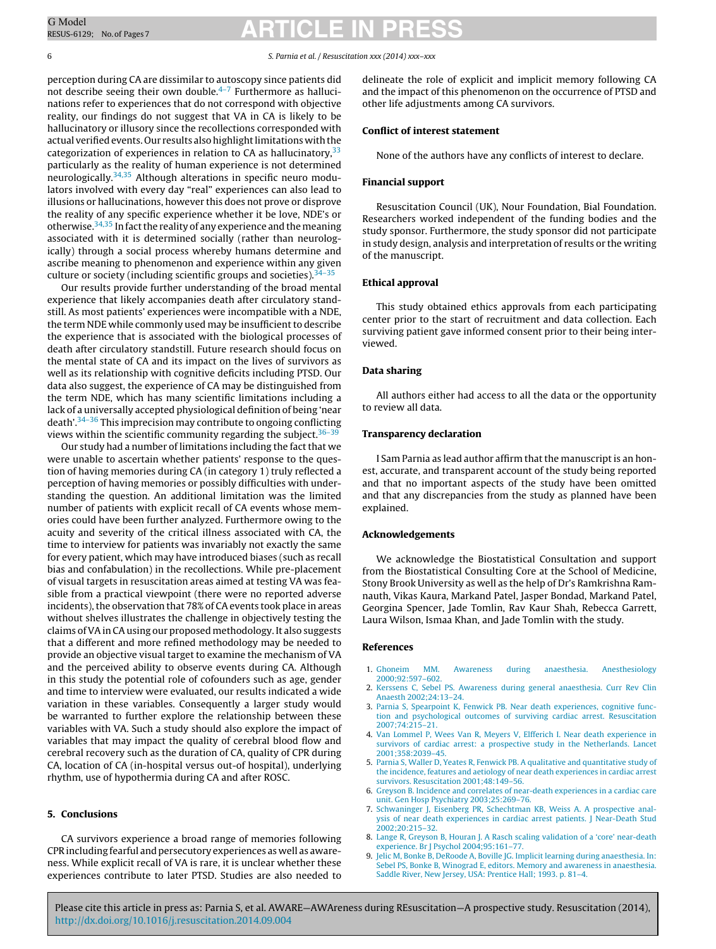6 S. Parnia et al. / Resuscitation xxx (2014) xxx–xxx

perception during CA are dissimilar to autoscopy since patients did not describe seeing their own double.4–7 Furthermore as hallucinations refer to experiences that do not correspond with objective reality, our findings do not suggest that VA in CA is likely to be hallucinatory or illusory since the recollections corresponded with actual verified events. Our results also highlight limitations with the categorization of experiences in relation to CA as hallucinatory,  $33$ particularly as the reality of human experience is not determined neurologically[.34,35](#page-6-0) Although alterations in specific neuro modulators involved with every day "real" experiences can also lead to illusions or hallucinations, however this does not prove or disprove the reality of any specific experience whether it be love, NDE's or otherwise. $34,35$  In fact the reality of any experience and the meaning associated with it is determined socially (rather than neurologically) through a social process whereby humans determine and ascribe meaning to phenomenon and experience within any given culture or society (including scientific groups and societies).  $34-35$ 

Our results provide further understanding of the broad mental experience that likely accompanies death after circulatory standstill. As most patients' experiences were incompatible with a NDE, the term NDE while commonly used may be insufficient to describe the experience that is associated with the biological processes of death after circulatory standstill. Future research should focus on the mental state of CA and its impact on the lives of survivors as well as its relationship with cognitive deficits including PTSD. Our data also suggest, the experience of CA may be distinguished from the term NDE, which has many scientific limitations including a lack of a universally accepted physiological definition of being 'near death'.<sup>[34–36](#page-6-0)</sup> This imprecision may contribute to ongoing conflicting views within the scientific community regarding the subject.  $36-39$ 

Our study had a number of limitations including the fact that we were unable to ascertain whether patients' response to the question of having memories during CA (in category 1) truly reflected a perception of having memories or possibly difficulties with understanding the question. An additional limitation was the limited number of patients with explicit recall of CA events whose memories could have been further analyzed. Furthermore owing to the acuity and severity of the critical illness associated with CA, the time to interview for patients was invariably not exactly the same for every patient, which may have introduced biases (such as recall bias and confabulation) in the recollections. While pre-placement of visual targets in resuscitation areas aimed at testing VA was feasible from a practical viewpoint (there were no reported adverse incidents), the observation that 78% of CA events took place in areas without shelves illustrates the challenge in objectively testing the claims ofVA in CA using our proposed methodology. It also suggests that a different and more refined methodology may be needed to provide an objective visual target to examine the mechanism of VA and the perceived ability to observe events during CA. Although in this study the potential role of cofounders such as age, gender and time to interview were evaluated, our results indicated a wide variation in these variables. Consequently a larger study would be warranted to further explore the relationship between these variables with VA. Such a study should also explore the impact of variables that may impact the quality of cerebral blood flow and cerebral recovery such as the duration of CA, quality of CPR during CA, location of CA (in-hospital versus out-of hospital), underlying rhythm, use of hypothermia during CA and after ROSC.

#### **5. Conclusions**

CA survivors experience a broad range of memories following CPRincluding fearful and persecutory experiences as well as awareness. While explicit recall of VA is rare, it is unclear whether these experiences contribute to later PTSD. Studies are also needed to

delineate the role of explicit and implicit memory following CA and the impact of this phenomenon on the occurrence of PTSD and other life adjustments among CA survivors.

#### **Conflict of interest statement**

None of the authors have any conflicts of interest to declare.

#### **Financial support**

Resuscitation Council (UK), Nour Foundation, Bial Foundation. Researchers worked independent of the funding bodies and the study sponsor. Furthermore, the study sponsor did not participate in study design, analysis and interpretation of results or the writing of the manuscript.

#### **Ethical approval**

This study obtained ethics approvals from each participating center prior to the start of recruitment and data collection. Each surviving patient gave informed consent prior to their being interviewed.

#### **Data sharing**

All authors either had access to all the data or the opportunity to review all data.

#### **Transparency declaration**

I Sam Parnia as lead author affirm that the manuscript is an honest, accurate, and transparent account of the study being reported and that no important aspects of the study have been omitted and that any discrepancies from the study as planned have been explained.

#### **Acknowledgements**

We acknowledge the Biostatistical Consultation and support from the Biostatistical Consulting Core at the School of Medicine, Stony Brook University as well as the help of Dr's Ramkrishna Ramnauth, Vikas Kaura, Markand Patel, Jasper Bondad, Markand Patel, Georgina Spencer, Jade Tomlin, Rav Kaur Shah, Rebecca Garrett, Laura Wilson, Ismaa Khan, and Jade Tomlin with the study.

#### **References**

- 1. [Ghoneim](http://refhub.elsevier.com/S0300-9572(14)00739-4/sbref0005) [MM.](http://refhub.elsevier.com/S0300-9572(14)00739-4/sbref0005) [Awareness](http://refhub.elsevier.com/S0300-9572(14)00739-4/sbref0005) [during](http://refhub.elsevier.com/S0300-9572(14)00739-4/sbref0005) [anaesthesia.](http://refhub.elsevier.com/S0300-9572(14)00739-4/sbref0005) [Anesthesiology](http://refhub.elsevier.com/S0300-9572(14)00739-4/sbref0005) [2000;92:597](http://refhub.elsevier.com/S0300-9572(14)00739-4/sbref0005)–[602.](http://refhub.elsevier.com/S0300-9572(14)00739-4/sbref0005)
- 2. [Kerssens](http://refhub.elsevier.com/S0300-9572(14)00739-4/sbref0010) [C,](http://refhub.elsevier.com/S0300-9572(14)00739-4/sbref0010) [Sebel](http://refhub.elsevier.com/S0300-9572(14)00739-4/sbref0010) [PS.](http://refhub.elsevier.com/S0300-9572(14)00739-4/sbref0010) [Awareness](http://refhub.elsevier.com/S0300-9572(14)00739-4/sbref0010) [during](http://refhub.elsevier.com/S0300-9572(14)00739-4/sbref0010) [general](http://refhub.elsevier.com/S0300-9572(14)00739-4/sbref0010) [anaesthesia.](http://refhub.elsevier.com/S0300-9572(14)00739-4/sbref0010) [Curr](http://refhub.elsevier.com/S0300-9572(14)00739-4/sbref0010) [Rev](http://refhub.elsevier.com/S0300-9572(14)00739-4/sbref0010) [Clin](http://refhub.elsevier.com/S0300-9572(14)00739-4/sbref0010) [Anaesth](http://refhub.elsevier.com/S0300-9572(14)00739-4/sbref0010) [2002;24:13–24.](http://refhub.elsevier.com/S0300-9572(14)00739-4/sbref0010)
- 3. [Parnia](http://refhub.elsevier.com/S0300-9572(14)00739-4/sbref0015) [S,](http://refhub.elsevier.com/S0300-9572(14)00739-4/sbref0015) [Spearpoint](http://refhub.elsevier.com/S0300-9572(14)00739-4/sbref0015) [K,](http://refhub.elsevier.com/S0300-9572(14)00739-4/sbref0015) [Fenwick](http://refhub.elsevier.com/S0300-9572(14)00739-4/sbref0015) [PB.](http://refhub.elsevier.com/S0300-9572(14)00739-4/sbref0015) [Near](http://refhub.elsevier.com/S0300-9572(14)00739-4/sbref0015) [death](http://refhub.elsevier.com/S0300-9572(14)00739-4/sbref0015) [experiences,](http://refhub.elsevier.com/S0300-9572(14)00739-4/sbref0015) [cognitive](http://refhub.elsevier.com/S0300-9572(14)00739-4/sbref0015) [func](http://refhub.elsevier.com/S0300-9572(14)00739-4/sbref0015)[tion](http://refhub.elsevier.com/S0300-9572(14)00739-4/sbref0015) [and](http://refhub.elsevier.com/S0300-9572(14)00739-4/sbref0015) [psychological](http://refhub.elsevier.com/S0300-9572(14)00739-4/sbref0015) [outcomes](http://refhub.elsevier.com/S0300-9572(14)00739-4/sbref0015) [of](http://refhub.elsevier.com/S0300-9572(14)00739-4/sbref0015) [surviving](http://refhub.elsevier.com/S0300-9572(14)00739-4/sbref0015) [cardiac](http://refhub.elsevier.com/S0300-9572(14)00739-4/sbref0015) [arrest.](http://refhub.elsevier.com/S0300-9572(14)00739-4/sbref0015) [Resuscitation](http://refhub.elsevier.com/S0300-9572(14)00739-4/sbref0015) [2007;74:215](http://refhub.elsevier.com/S0300-9572(14)00739-4/sbref0015)–[21.](http://refhub.elsevier.com/S0300-9572(14)00739-4/sbref0015)
- 4. [Van](http://refhub.elsevier.com/S0300-9572(14)00739-4/sbref0020) [Lommel](http://refhub.elsevier.com/S0300-9572(14)00739-4/sbref0020) [P,](http://refhub.elsevier.com/S0300-9572(14)00739-4/sbref0020) [Wees](http://refhub.elsevier.com/S0300-9572(14)00739-4/sbref0020) [Van](http://refhub.elsevier.com/S0300-9572(14)00739-4/sbref0020) [R,](http://refhub.elsevier.com/S0300-9572(14)00739-4/sbref0020) [Meyers](http://refhub.elsevier.com/S0300-9572(14)00739-4/sbref0020) [V,](http://refhub.elsevier.com/S0300-9572(14)00739-4/sbref0020) [Elfferich](http://refhub.elsevier.com/S0300-9572(14)00739-4/sbref0020) [I.](http://refhub.elsevier.com/S0300-9572(14)00739-4/sbref0020) [Near](http://refhub.elsevier.com/S0300-9572(14)00739-4/sbref0020) [death](http://refhub.elsevier.com/S0300-9572(14)00739-4/sbref0020) [experience](http://refhub.elsevier.com/S0300-9572(14)00739-4/sbref0020) [in](http://refhub.elsevier.com/S0300-9572(14)00739-4/sbref0020) [survivors](http://refhub.elsevier.com/S0300-9572(14)00739-4/sbref0020) [of](http://refhub.elsevier.com/S0300-9572(14)00739-4/sbref0020) [cardiac](http://refhub.elsevier.com/S0300-9572(14)00739-4/sbref0020) [arrest:](http://refhub.elsevier.com/S0300-9572(14)00739-4/sbref0020) [a](http://refhub.elsevier.com/S0300-9572(14)00739-4/sbref0020) [prospective](http://refhub.elsevier.com/S0300-9572(14)00739-4/sbref0020) [study](http://refhub.elsevier.com/S0300-9572(14)00739-4/sbref0020) [in](http://refhub.elsevier.com/S0300-9572(14)00739-4/sbref0020) [the](http://refhub.elsevier.com/S0300-9572(14)00739-4/sbref0020) [Netherlands.](http://refhub.elsevier.com/S0300-9572(14)00739-4/sbref0020) [Lancet](http://refhub.elsevier.com/S0300-9572(14)00739-4/sbref0020) [2001;358:2039–45.](http://refhub.elsevier.com/S0300-9572(14)00739-4/sbref0020)
- 5. [Parnia](http://refhub.elsevier.com/S0300-9572(14)00739-4/sbref0025) [S,](http://refhub.elsevier.com/S0300-9572(14)00739-4/sbref0025) [Waller](http://refhub.elsevier.com/S0300-9572(14)00739-4/sbref0025) [D,](http://refhub.elsevier.com/S0300-9572(14)00739-4/sbref0025) [Yeates](http://refhub.elsevier.com/S0300-9572(14)00739-4/sbref0025) [R,](http://refhub.elsevier.com/S0300-9572(14)00739-4/sbref0025) [Fenwick](http://refhub.elsevier.com/S0300-9572(14)00739-4/sbref0025) [PB.](http://refhub.elsevier.com/S0300-9572(14)00739-4/sbref0025) [A](http://refhub.elsevier.com/S0300-9572(14)00739-4/sbref0025) [qualitative](http://refhub.elsevier.com/S0300-9572(14)00739-4/sbref0025) [and](http://refhub.elsevier.com/S0300-9572(14)00739-4/sbref0025) [quantitative](http://refhub.elsevier.com/S0300-9572(14)00739-4/sbref0025) [study](http://refhub.elsevier.com/S0300-9572(14)00739-4/sbref0025) [of](http://refhub.elsevier.com/S0300-9572(14)00739-4/sbref0025) [the](http://refhub.elsevier.com/S0300-9572(14)00739-4/sbref0025) [incidence,](http://refhub.elsevier.com/S0300-9572(14)00739-4/sbref0025) [features](http://refhub.elsevier.com/S0300-9572(14)00739-4/sbref0025) [and](http://refhub.elsevier.com/S0300-9572(14)00739-4/sbref0025) [aetiology](http://refhub.elsevier.com/S0300-9572(14)00739-4/sbref0025) [of](http://refhub.elsevier.com/S0300-9572(14)00739-4/sbref0025) [near](http://refhub.elsevier.com/S0300-9572(14)00739-4/sbref0025) [death](http://refhub.elsevier.com/S0300-9572(14)00739-4/sbref0025) [experiences](http://refhub.elsevier.com/S0300-9572(14)00739-4/sbref0025) [in](http://refhub.elsevier.com/S0300-9572(14)00739-4/sbref0025) [cardiac](http://refhub.elsevier.com/S0300-9572(14)00739-4/sbref0025) [arrest](http://refhub.elsevier.com/S0300-9572(14)00739-4/sbref0025) [survivors.](http://refhub.elsevier.com/S0300-9572(14)00739-4/sbref0025) [Resuscitation](http://refhub.elsevier.com/S0300-9572(14)00739-4/sbref0025) [2001;48:149](http://refhub.elsevier.com/S0300-9572(14)00739-4/sbref0025)–[56.](http://refhub.elsevier.com/S0300-9572(14)00739-4/sbref0025)
- 6. [Greyson](http://refhub.elsevier.com/S0300-9572(14)00739-4/sbref0030) [B.](http://refhub.elsevier.com/S0300-9572(14)00739-4/sbref0030) [Incidence](http://refhub.elsevier.com/S0300-9572(14)00739-4/sbref0030) [and](http://refhub.elsevier.com/S0300-9572(14)00739-4/sbref0030) [correlates](http://refhub.elsevier.com/S0300-9572(14)00739-4/sbref0030) [of](http://refhub.elsevier.com/S0300-9572(14)00739-4/sbref0030) [near-death](http://refhub.elsevier.com/S0300-9572(14)00739-4/sbref0030) [experiences](http://refhub.elsevier.com/S0300-9572(14)00739-4/sbref0030) [in](http://refhub.elsevier.com/S0300-9572(14)00739-4/sbref0030) [a](http://refhub.elsevier.com/S0300-9572(14)00739-4/sbref0030) [cardiac](http://refhub.elsevier.com/S0300-9572(14)00739-4/sbref0030) [care](http://refhub.elsevier.com/S0300-9572(14)00739-4/sbref0030) [unit.](http://refhub.elsevier.com/S0300-9572(14)00739-4/sbref0030) [Gen](http://refhub.elsevier.com/S0300-9572(14)00739-4/sbref0030) [Hosp](http://refhub.elsevier.com/S0300-9572(14)00739-4/sbref0030) [Psychiatry](http://refhub.elsevier.com/S0300-9572(14)00739-4/sbref0030) [2003;25:269–76.](http://refhub.elsevier.com/S0300-9572(14)00739-4/sbref0030)
- 7. [Schwaninger](http://refhub.elsevier.com/S0300-9572(14)00739-4/sbref0035) [J,](http://refhub.elsevier.com/S0300-9572(14)00739-4/sbref0035) [Eisenberg](http://refhub.elsevier.com/S0300-9572(14)00739-4/sbref0035) [PR,](http://refhub.elsevier.com/S0300-9572(14)00739-4/sbref0035) [Schechtman](http://refhub.elsevier.com/S0300-9572(14)00739-4/sbref0035) [KB,](http://refhub.elsevier.com/S0300-9572(14)00739-4/sbref0035) [Weiss](http://refhub.elsevier.com/S0300-9572(14)00739-4/sbref0035) [A.](http://refhub.elsevier.com/S0300-9572(14)00739-4/sbref0035) [A](http://refhub.elsevier.com/S0300-9572(14)00739-4/sbref0035) [prospective](http://refhub.elsevier.com/S0300-9572(14)00739-4/sbref0035) [anal](http://refhub.elsevier.com/S0300-9572(14)00739-4/sbref0035)[ysis](http://refhub.elsevier.com/S0300-9572(14)00739-4/sbref0035) [of](http://refhub.elsevier.com/S0300-9572(14)00739-4/sbref0035) [near](http://refhub.elsevier.com/S0300-9572(14)00739-4/sbref0035) [death](http://refhub.elsevier.com/S0300-9572(14)00739-4/sbref0035) [experiences](http://refhub.elsevier.com/S0300-9572(14)00739-4/sbref0035) [in](http://refhub.elsevier.com/S0300-9572(14)00739-4/sbref0035) [cardiac](http://refhub.elsevier.com/S0300-9572(14)00739-4/sbref0035) [arrest](http://refhub.elsevier.com/S0300-9572(14)00739-4/sbref0035) [patients.](http://refhub.elsevier.com/S0300-9572(14)00739-4/sbref0035) [J](http://refhub.elsevier.com/S0300-9572(14)00739-4/sbref0035) [Near-Death](http://refhub.elsevier.com/S0300-9572(14)00739-4/sbref0035) [Stud](http://refhub.elsevier.com/S0300-9572(14)00739-4/sbref0035) [2002;20:215](http://refhub.elsevier.com/S0300-9572(14)00739-4/sbref0035)–[32.](http://refhub.elsevier.com/S0300-9572(14)00739-4/sbref0035)
- 8. [Lange](http://refhub.elsevier.com/S0300-9572(14)00739-4/sbref0040) [R,](http://refhub.elsevier.com/S0300-9572(14)00739-4/sbref0040) [Greyson](http://refhub.elsevier.com/S0300-9572(14)00739-4/sbref0040) [B,](http://refhub.elsevier.com/S0300-9572(14)00739-4/sbref0040) [Houran](http://refhub.elsevier.com/S0300-9572(14)00739-4/sbref0040) [J.](http://refhub.elsevier.com/S0300-9572(14)00739-4/sbref0040) [A](http://refhub.elsevier.com/S0300-9572(14)00739-4/sbref0040) [Rasch](http://refhub.elsevier.com/S0300-9572(14)00739-4/sbref0040) [scaling](http://refhub.elsevier.com/S0300-9572(14)00739-4/sbref0040) [validation](http://refhub.elsevier.com/S0300-9572(14)00739-4/sbref0040) [of](http://refhub.elsevier.com/S0300-9572(14)00739-4/sbref0040) [a](http://refhub.elsevier.com/S0300-9572(14)00739-4/sbref0040) ['core'](http://refhub.elsevier.com/S0300-9572(14)00739-4/sbref0040) [near-death](http://refhub.elsevier.com/S0300-9572(14)00739-4/sbref0040) [experience.](http://refhub.elsevier.com/S0300-9572(14)00739-4/sbref0040) [Br](http://refhub.elsevier.com/S0300-9572(14)00739-4/sbref0040) [J](http://refhub.elsevier.com/S0300-9572(14)00739-4/sbref0040) [Psychol](http://refhub.elsevier.com/S0300-9572(14)00739-4/sbref0040) [2004;95:161–77.](http://refhub.elsevier.com/S0300-9572(14)00739-4/sbref0040)
- 9. [Jelic](http://refhub.elsevier.com/S0300-9572(14)00739-4/sbref0045) [M,](http://refhub.elsevier.com/S0300-9572(14)00739-4/sbref0045) [Bonke](http://refhub.elsevier.com/S0300-9572(14)00739-4/sbref0045) [B,](http://refhub.elsevier.com/S0300-9572(14)00739-4/sbref0045) [DeRoode](http://refhub.elsevier.com/S0300-9572(14)00739-4/sbref0045) [A,](http://refhub.elsevier.com/S0300-9572(14)00739-4/sbref0045) [Boville](http://refhub.elsevier.com/S0300-9572(14)00739-4/sbref0045) [JG.](http://refhub.elsevier.com/S0300-9572(14)00739-4/sbref0045) [Implicit](http://refhub.elsevier.com/S0300-9572(14)00739-4/sbref0045) [learning](http://refhub.elsevier.com/S0300-9572(14)00739-4/sbref0045) [during](http://refhub.elsevier.com/S0300-9572(14)00739-4/sbref0045) [anaesthesia.](http://refhub.elsevier.com/S0300-9572(14)00739-4/sbref0045) [In:](http://refhub.elsevier.com/S0300-9572(14)00739-4/sbref0045) [Sebel](http://refhub.elsevier.com/S0300-9572(14)00739-4/sbref0045) [PS,](http://refhub.elsevier.com/S0300-9572(14)00739-4/sbref0045) [Bonke](http://refhub.elsevier.com/S0300-9572(14)00739-4/sbref0045) [B,](http://refhub.elsevier.com/S0300-9572(14)00739-4/sbref0045) [Winograd](http://refhub.elsevier.com/S0300-9572(14)00739-4/sbref0045) [E,](http://refhub.elsevier.com/S0300-9572(14)00739-4/sbref0045) [editors.](http://refhub.elsevier.com/S0300-9572(14)00739-4/sbref0045) [Memory](http://refhub.elsevier.com/S0300-9572(14)00739-4/sbref0045) [and](http://refhub.elsevier.com/S0300-9572(14)00739-4/sbref0045) [awareness](http://refhub.elsevier.com/S0300-9572(14)00739-4/sbref0045) [in](http://refhub.elsevier.com/S0300-9572(14)00739-4/sbref0045) [anaesthesia.](http://refhub.elsevier.com/S0300-9572(14)00739-4/sbref0045) [Saddle](http://refhub.elsevier.com/S0300-9572(14)00739-4/sbref0045) [River,](http://refhub.elsevier.com/S0300-9572(14)00739-4/sbref0045) [New](http://refhub.elsevier.com/S0300-9572(14)00739-4/sbref0045) [Jersey,](http://refhub.elsevier.com/S0300-9572(14)00739-4/sbref0045) [USA:](http://refhub.elsevier.com/S0300-9572(14)00739-4/sbref0045) [Prentice](http://refhub.elsevier.com/S0300-9572(14)00739-4/sbref0045) [Hall;](http://refhub.elsevier.com/S0300-9572(14)00739-4/sbref0045) [1993.](http://refhub.elsevier.com/S0300-9572(14)00739-4/sbref0045) [p.](http://refhub.elsevier.com/S0300-9572(14)00739-4/sbref0045) [81–4.](http://refhub.elsevier.com/S0300-9572(14)00739-4/sbref0045)

<span id="page-5-0"></span>